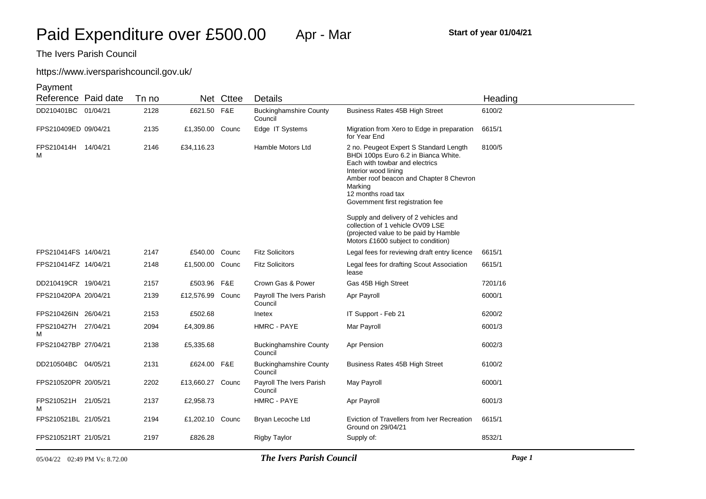# https://www.iversparishcouncil.gov.uk/

| Reference Paid date      | Tn no |                  | Net Cttee | Details                                  |                                                                                                                                                                                                                                                           | Heading |
|--------------------------|-------|------------------|-----------|------------------------------------------|-----------------------------------------------------------------------------------------------------------------------------------------------------------------------------------------------------------------------------------------------------------|---------|
| DD210401BC 01/04/21      | 2128  | £621.50 F&E      |           | <b>Buckinghamshire County</b><br>Council | Business Rates 45B High Street                                                                                                                                                                                                                            | 6100/2  |
| FPS210409ED 09/04/21     | 2135  | £1,350.00 Counc  |           | Edge IT Systems                          | Migration from Xero to Edge in preparation<br>for Year End                                                                                                                                                                                                | 6615/1  |
| FPS210414H 14/04/21<br>м | 2146  | £34,116.23       |           | Hamble Motors Ltd                        | 2 no. Peugeot Expert S Standard Length<br>BHDi 100ps Euro 6.2 in Bianca White.<br>Each with towbar and electrics<br>Interior wood lining<br>Amber roof beacon and Chapter 8 Chevron<br>Marking<br>12 months road tax<br>Government first registration fee | 8100/5  |
|                          |       |                  |           |                                          | Supply and delivery of 2 vehicles and<br>collection of 1 vehicle OV09 LSE<br>(projected value to be paid by Hamble<br>Motors £1600 subject to condition)                                                                                                  |         |
| FPS210414FS 14/04/21     | 2147  | £540.00 Counc    |           | <b>Fitz Solicitors</b>                   | Legal fees for reviewing draft entry licence                                                                                                                                                                                                              | 6615/1  |
| FPS210414FZ 14/04/21     | 2148  | £1,500.00 Counc  |           | <b>Fitz Solicitors</b>                   | Legal fees for drafting Scout Association<br>lease                                                                                                                                                                                                        | 6615/1  |
| DD210419CR 19/04/21      | 2157  | £503.96 F&E      |           | Crown Gas & Power                        | Gas 45B High Street                                                                                                                                                                                                                                       | 7201/16 |
| FPS210420PA 20/04/21     | 2139  | £12,576.99 Counc |           | Payroll The Ivers Parish<br>Council      | Apr Payroll                                                                                                                                                                                                                                               | 6000/1  |
| FPS210426IN 26/04/21     | 2153  | £502.68          |           | Inetex                                   | IT Support - Feb 21                                                                                                                                                                                                                                       | 6200/2  |
| FPS210427H 27/04/21<br>м | 2094  | £4,309.86        |           | HMRC - PAYE                              | Mar Payroll                                                                                                                                                                                                                                               | 6001/3  |
| FPS210427BP 27/04/21     | 2138  | £5,335.68        |           | <b>Buckinghamshire County</b><br>Council | Apr Pension                                                                                                                                                                                                                                               | 6002/3  |
| DD210504BC 04/05/21      | 2131  | £624.00 F&E      |           | <b>Buckinghamshire County</b><br>Council | Business Rates 45B High Street                                                                                                                                                                                                                            | 6100/2  |
| FPS210520PR 20/05/21     | 2202  | £13,660.27 Counc |           | Payroll The Ivers Parish<br>Council      | May Payroll                                                                                                                                                                                                                                               | 6000/1  |
| FPS210521H 21/05/21<br>м | 2137  | £2,958.73        |           | <b>HMRC - PAYE</b>                       | Apr Payroll                                                                                                                                                                                                                                               | 6001/3  |
| FPS210521BL 21/05/21     | 2194  | £1,202.10 Counc  |           | Bryan Lecoche Ltd                        | Eviction of Travellers from Iver Recreation<br>Ground on 29/04/21                                                                                                                                                                                         | 6615/1  |
| FPS210521RT 21/05/21     | 2197  | £826.28          |           | <b>Rigby Taylor</b>                      | Supply of:                                                                                                                                                                                                                                                | 8532/1  |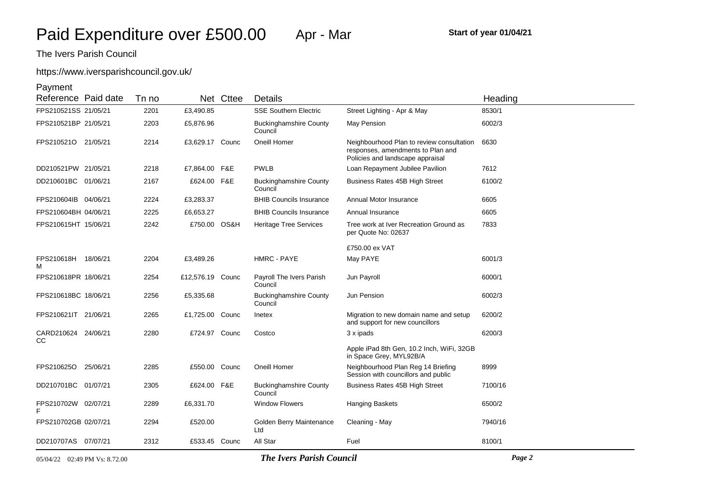# https://www.iversparishcouncil.gov.uk/

| Reference Paid date        |          | Tn no |                  | Net Cttee | <b>Details</b>                           |                                                                                                                    | Heading |
|----------------------------|----------|-------|------------------|-----------|------------------------------------------|--------------------------------------------------------------------------------------------------------------------|---------|
| FPS210521SS 21/05/21       |          | 2201  | £3,490.85        |           | <b>SSE Southern Electric</b>             | Street Lighting - Apr & May                                                                                        | 8530/1  |
| FPS210521BP 21/05/21       |          | 2203  | £5,876.96        |           | <b>Buckinghamshire County</b><br>Council | May Pension                                                                                                        | 6002/3  |
| FPS210521O 21/05/21        |          | 2214  | £3,629.17 Counc  |           | Oneill Homer                             | Neighbourhood Plan to review consultation<br>responses, amendments to Plan and<br>Policies and landscape appraisal | 6630    |
| DD210521PW 21/05/21        |          | 2218  | £7,864.00 F&E    |           | <b>PWLB</b>                              | Loan Repayment Jubilee Pavilion                                                                                    | 7612    |
| DD210601BC 01/06/21        |          | 2167  | £624.00 F&E      |           | <b>Buckinghamshire County</b><br>Council | <b>Business Rates 45B High Street</b>                                                                              | 6100/2  |
| FPS210604IB 04/06/21       |          | 2224  | £3,283.37        |           | <b>BHIB Councils Insurance</b>           | Annual Motor Insurance                                                                                             | 6605    |
| FPS210604BH 04/06/21       |          | 2225  | £6,653.27        |           | <b>BHIB Councils Insurance</b>           | Annual Insurance                                                                                                   | 6605    |
| FPS210615HT 15/06/21       |          | 2242  | £750.00 OS&H     |           | <b>Heritage Tree Services</b>            | Tree work at Iver Recreation Ground as<br>per Quote No: 02637                                                      | 7833    |
|                            |          |       |                  |           |                                          | £750.00 ex VAT                                                                                                     |         |
| FPS210618H 18/06/21<br>м   |          | 2204  | £3,489.26        |           | <b>HMRC - PAYE</b>                       | May PAYE                                                                                                           | 6001/3  |
| FPS210618PR 18/06/21       |          | 2254  | £12,576.19 Counc |           | Payroll The Ivers Parish<br>Council      | Jun Payroll                                                                                                        | 6000/1  |
| FPS210618BC 18/06/21       |          | 2256  | £5,335.68        |           | <b>Buckinghamshire County</b><br>Council | Jun Pension                                                                                                        | 6002/3  |
| FPS210621IT 21/06/21       |          | 2265  | £1,725.00        | Counc     | Inetex                                   | Migration to new domain name and setup<br>and support for new councillors                                          | 6200/2  |
| CARD210624 24/06/21<br>CC. |          | 2280  | £724.97 Counc    |           | Costco                                   | 3 x ipads                                                                                                          | 6200/3  |
|                            |          |       |                  |           |                                          | Apple iPad 8th Gen, 10.2 Inch, WiFi, 32GB<br>in Space Grey, MYL92B/A                                               |         |
| FPS210625O                 | 25/06/21 | 2285  | £550.00 Counc    |           | Oneill Homer                             | Neighbourhood Plan Reg 14 Briefing<br>Session with councillors and public                                          | 8999    |
| DD210701BC 01/07/21        |          | 2305  | £624.00 F&E      |           | <b>Buckinghamshire County</b><br>Council | Business Rates 45B High Street                                                                                     | 7100/16 |
| FPS210702W 02/07/21        |          | 2289  | £6,331.70        |           | <b>Window Flowers</b>                    | <b>Hanging Baskets</b>                                                                                             | 6500/2  |
| FPS210702GB 02/07/21       |          | 2294  | £520.00          |           | Golden Berry Maintenance<br>Ltd          | Cleaning - May                                                                                                     | 7940/16 |
| DD210707AS 07/07/21        |          | 2312  | £533.45 Counc    |           | All Star                                 | Fuel                                                                                                               | 8100/1  |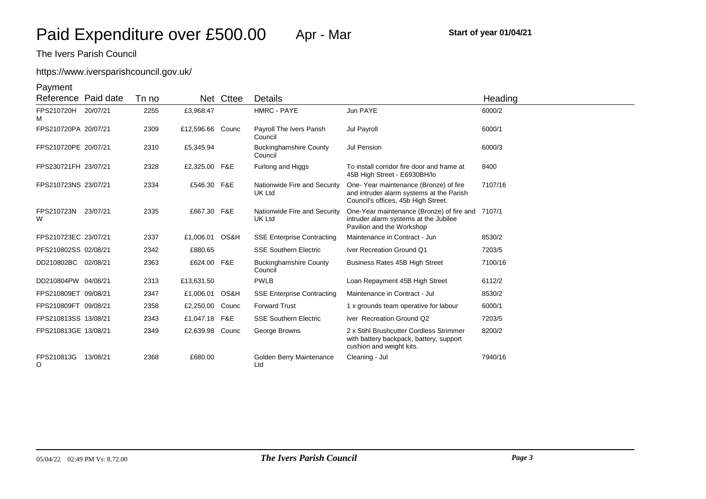# https://www.iversparishcouncil.gov.uk/

| Reference Paid date      |          | Tn no |                  | Net Cttee | <b>Details</b>                                |                                                                                                                          | Heading |
|--------------------------|----------|-------|------------------|-----------|-----------------------------------------------|--------------------------------------------------------------------------------------------------------------------------|---------|
| FPS210720H 20/07/21<br>м |          | 2255  | £3,968.47        |           | HMRC - PAYE                                   | Jun PAYE                                                                                                                 | 6000/2  |
| FPS210720PA 20/07/21     |          | 2309  | £12,596.66 Counc |           | Payroll The Ivers Parish<br>Council           | Jul Payroll                                                                                                              | 6000/1  |
| FPS210720PE 20/07/21     |          | 2310  | £5,345.94        |           | <b>Buckinghamshire County</b><br>Council      | Jul Pension                                                                                                              | 6000/3  |
| FPS230721FH 23/07/21     |          | 2328  | £2,325.00 F&E    |           | Furlong and Higgs                             | To install corridor fire door and frame at<br>45B High Street - E6930BH/lo                                               | 8400    |
| FPS210723NS 23/07/21     |          | 2334  | £546.30 F&E      |           | Nationwide Fire and Security<br>UK Ltd        | One-Year maintenance (Bronze) of fire<br>and intruder alarm systems at the Parish<br>Council's offices, 45b High Street. | 7107/16 |
| FPS210723N<br>w          | 23/07/21 | 2335  | £667.30 F&E      |           | Nationwide Fire and Security<br><b>UK Ltd</b> | One-Year maintenance (Bronze) of fire and 7107/1<br>intruder alarm systems at the Jubilee<br>Pavilion and the Workshop   |         |
| FPS210723EC 23/07/21     |          | 2337  | £1,006.01 OS&H   |           | <b>SSE Enterprise Contracting</b>             | Maintenance in Contract - Jun                                                                                            | 8530/2  |
| PFS210802SS 02/08/21     |          | 2342  | £880.65          |           | <b>SSE Southern Electric</b>                  | Iver Recreation Ground Q1                                                                                                | 7203/5  |
| DD210802BC 02/08/21      |          | 2363  | £624.00 F&E      |           | <b>Buckinghamshire County</b><br>Council      | <b>Business Rates 45B High Street</b>                                                                                    | 7100/16 |
| DD210804PW 04/08/21      |          | 2313  | £13,631.50       |           | <b>PWLB</b>                                   | Loan Repayment 45B High Street                                                                                           | 6112/2  |
| FPS210809ET 09/08/21     |          | 2347  | £1,006.01 OS&H   |           | <b>SSE Enterprise Contracting</b>             | Maintenance in Contract - Jul                                                                                            | 8530/2  |
| FPS210809FT 09/08/21     |          | 2358  | £2,250.00 Counc  |           | <b>Forward Trust</b>                          | 1 x grounds team operative for labour                                                                                    | 6000/1  |
| FPS210813SS 13/08/21     |          | 2343  | £1,047.18 F&E    |           | <b>SSE Southern Electric</b>                  | Iver Recreation Ground Q2                                                                                                | 7203/5  |
| FPS210813GE 13/08/21     |          | 2349  | £2,639.98 Counc  |           | George Browns                                 | 2 x Stihl Brushcutter Cordless Strimmer<br>with battery backpack, battery, support<br>cushion and weight kits.           | 8200/2  |
| FPS210813G<br>O          | 13/08/21 | 2368  | £680.00          |           | Golden Berry Maintenance<br>Ltd               | Cleaning - Jul                                                                                                           | 7940/16 |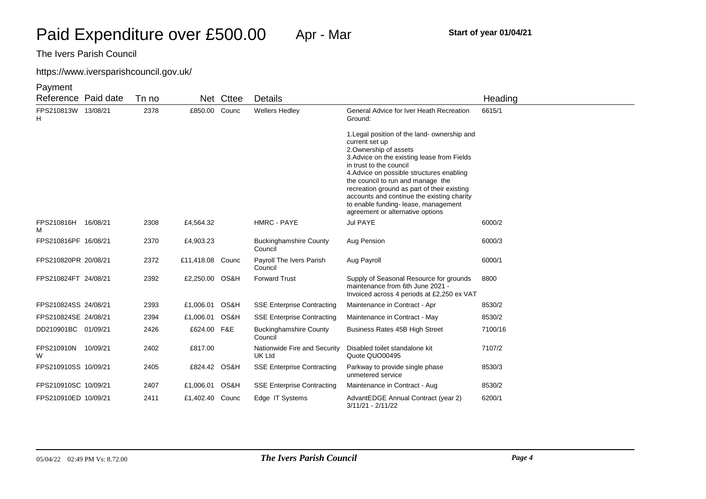# https://www.iversparishcouncil.gov.uk/

| Reference Paid date      |          | Tn no |                  | Net Cttee | Details                                  |                                                                                                                                                                                                                                                                                                                                                                                                                              | Heading |
|--------------------------|----------|-------|------------------|-----------|------------------------------------------|------------------------------------------------------------------------------------------------------------------------------------------------------------------------------------------------------------------------------------------------------------------------------------------------------------------------------------------------------------------------------------------------------------------------------|---------|
| FPS210813W 13/08/21<br>н |          | 2378  | £850.00          | Counc     | <b>Wellers Hedley</b>                    | General Advice for Iver Heath Recreation<br>Ground:                                                                                                                                                                                                                                                                                                                                                                          | 6615/1  |
|                          |          |       |                  |           |                                          | 1. Legal position of the land-ownership and<br>current set up<br>2. Ownership of assets<br>3. Advice on the existing lease from Fields<br>in trust to the council<br>4. Advice on possible structures enabling<br>the council to run and manage the<br>recreation ground as part of their existing<br>accounts and continue the existing charity<br>to enable funding- lease, management<br>agreement or alternative options |         |
| FPS210816H<br>м          | 16/08/21 | 2308  | £4,564.32        |           | HMRC - PAYE                              | Jul PAYE                                                                                                                                                                                                                                                                                                                                                                                                                     | 6000/2  |
| FPS210816PF 16/08/21     |          | 2370  | £4,903.23        |           | <b>Buckinghamshire County</b><br>Council | Aug Pension                                                                                                                                                                                                                                                                                                                                                                                                                  | 6000/3  |
| FPS210820PR 20/08/21     |          | 2372  | £11,418.08 Counc |           | Payroll The Ivers Parish<br>Council      | Aug Payroll                                                                                                                                                                                                                                                                                                                                                                                                                  | 6000/1  |
| FPS210824FT 24/08/21     |          | 2392  | £2,250.00 OS&H   |           | <b>Forward Trust</b>                     | Supply of Seasonal Resource for grounds<br>maintenance from 6th June 2021 -<br>Invoiced across 4 periods at £2,250 ex VAT                                                                                                                                                                                                                                                                                                    | 8800    |
| FPS210824SS 24/08/21     |          | 2393  | £1,006.01        | OS&H      | <b>SSE Enterprise Contracting</b>        | Maintenance in Contract - Apr                                                                                                                                                                                                                                                                                                                                                                                                | 8530/2  |
| FPS210824SE 24/08/21     |          | 2394  | £1,006.01 OS&H   |           | <b>SSE Enterprise Contracting</b>        | Maintenance in Contract - May                                                                                                                                                                                                                                                                                                                                                                                                | 8530/2  |
| DD210901BC 01/09/21      |          | 2426  | £624.00 F&E      |           | <b>Buckinghamshire County</b><br>Council | Business Rates 45B High Street                                                                                                                                                                                                                                                                                                                                                                                               | 7100/16 |
| FPS210910N 10/09/21<br>W |          | 2402  | £817.00          |           | Nationwide Fire and Security<br>UK Ltd   | Disabled toilet standalone kit<br>Quote QUO00495                                                                                                                                                                                                                                                                                                                                                                             | 7107/2  |
| FPS210910SS 10/09/21     |          | 2405  | £824.42 OS&H     |           | <b>SSE Enterprise Contracting</b>        | Parkway to provide single phase<br>unmetered service                                                                                                                                                                                                                                                                                                                                                                         | 8530/3  |
| FPS210910SC 10/09/21     |          | 2407  | £1,006.01 OS&H   |           | <b>SSE Enterprise Contracting</b>        | Maintenance in Contract - Aug                                                                                                                                                                                                                                                                                                                                                                                                | 8530/2  |
| FPS210910ED 10/09/21     |          | 2411  | £1,402.40 Counc  |           | Edge IT Systems                          | AdvantEDGE Annual Contract (year 2)<br>$3/11/21 - 2/11/22$                                                                                                                                                                                                                                                                                                                                                                   | 6200/1  |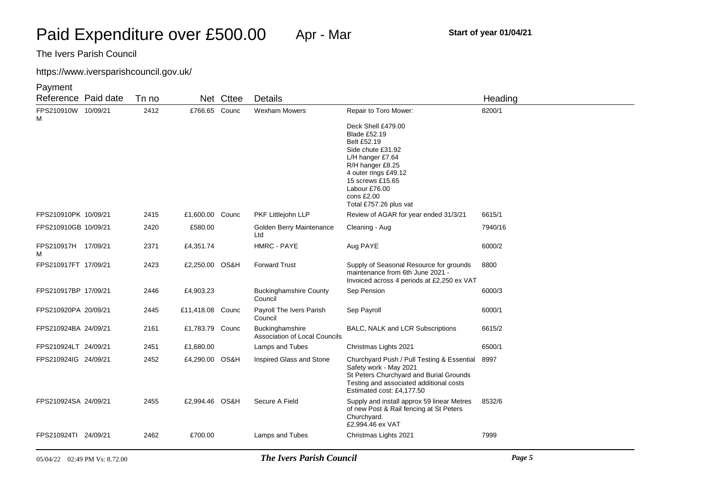# https://www.iversparishcouncil.gov.uk/

| Reference Paid date      | Tn no |                  | Net Cttee | <b>Details</b>                                          |                                                                                                                                                                                                                              | Heading |
|--------------------------|-------|------------------|-----------|---------------------------------------------------------|------------------------------------------------------------------------------------------------------------------------------------------------------------------------------------------------------------------------------|---------|
| FPS210910W 10/09/21      | 2412  | £766.65 Counc    |           | Wexham Mowers                                           | Repair to Toro Mower:                                                                                                                                                                                                        | 8200/1  |
| М                        |       |                  |           |                                                         | Deck Shell £479.00<br><b>Blade £52.19</b><br>Belt £52.19<br>Side chute £31.92<br>$L/H$ hanger £7.64<br>R/H hanger £8.25<br>4 outer rings £49.12<br>15 screws £15.65<br>Labour £76.00<br>cons £2.00<br>Total £757.26 plus vat |         |
| FPS210910PK 10/09/21     | 2415  | £1,600.00 Counc  |           | PKF Littlejohn LLP                                      | Review of AGAR for year ended 31/3/21                                                                                                                                                                                        | 6615/1  |
| FPS210910GB 10/09/21     | 2420  | £580.00          |           | Golden Berry Maintenance<br>Ltd                         | Cleaning - Aug                                                                                                                                                                                                               | 7940/16 |
| FPS210917H 17/09/21<br>м | 2371  | £4,351.74        |           | HMRC - PAYE                                             | Aug PAYE                                                                                                                                                                                                                     | 6000/2  |
| FPS210917FT 17/09/21     | 2423  | £2,250.00 OS&H   |           | <b>Forward Trust</b>                                    | Supply of Seasonal Resource for grounds<br>maintenance from 6th June 2021 -<br>Invoiced across 4 periods at £2,250 ex VAT                                                                                                    | 8800    |
| FPS210917BP 17/09/21     | 2446  | £4,903.23        |           | <b>Buckinghamshire County</b><br>Council                | Sep Pension                                                                                                                                                                                                                  | 6000/3  |
| FPS210920PA 20/09/21     | 2445  | £11,418.08 Counc |           | Payroll The Ivers Parish<br>Council                     | Sep Payroll                                                                                                                                                                                                                  | 6000/1  |
| FPS210924BA 24/09/21     | 2161  | £1,783.79 Counc  |           | Buckinghamshire<br><b>Association of Local Councils</b> | BALC, NALK and LCR Subscriptions                                                                                                                                                                                             | 6615/2  |
| FPS210924LT 24/09/21     | 2451  | £1,680.00        |           | Lamps and Tubes                                         | Christmas Lights 2021                                                                                                                                                                                                        | 6500/1  |
| FPS210924IG 24/09/21     | 2452  | £4,290.00 OS&H   |           | Inspired Glass and Stone                                | Churchyard Push / Pull Testing & Essential<br>Safety work - May 2021<br>St Peters Churchyard and Burial Grounds<br>Testing and associated additional costs<br>Estimated cost: £4,177.50                                      | 8997    |
| FPS210924SA 24/09/21     | 2455  | £2,994.46 OS&H   |           | Secure A Field                                          | Supply and install approx 59 linear Metres<br>of new Post & Rail fencing at St Peters<br>Churchyard.<br>£2,994.46 ex VAT                                                                                                     | 8532/6  |
| FPS210924TI 24/09/21     | 2462  | £700.00          |           | Lamps and Tubes                                         | Christmas Lights 2021                                                                                                                                                                                                        | 7999    |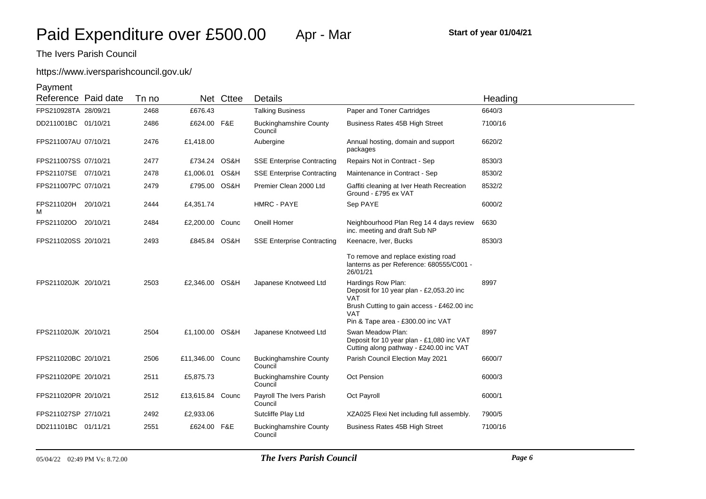# https://www.iversparishcouncil.gov.uk/

| Reference Paid date  |          | Tn no |                  | Net Cttee | <b>Details</b>                           |                                                                                                           | Heading |
|----------------------|----------|-------|------------------|-----------|------------------------------------------|-----------------------------------------------------------------------------------------------------------|---------|
| FPS210928TA 28/09/21 |          | 2468  | £676.43          |           | <b>Talking Business</b>                  | Paper and Toner Cartridges                                                                                | 6640/3  |
| DD211001BC 01/10/21  |          | 2486  | £624.00 F&E      |           | <b>Buckinghamshire County</b><br>Council | <b>Business Rates 45B High Street</b>                                                                     | 7100/16 |
| FPS211007AU 07/10/21 |          | 2476  | £1,418.00        |           | Aubergine                                | Annual hosting, domain and support<br>packages                                                            | 6620/2  |
| FPS211007SS 07/10/21 |          | 2477  | £734.24 OS&H     |           | <b>SSE Enterprise Contracting</b>        | Repairs Not in Contract - Sep                                                                             | 8530/3  |
| FPS21107SE 07/10/21  |          | 2478  | £1,006.01        | OS&H      | <b>SSE Enterprise Contracting</b>        | Maintenance in Contract - Sep                                                                             | 8530/2  |
| FPS211007PC 07/10/21 |          | 2479  | £795.00 OS&H     |           | Premier Clean 2000 Ltd                   | Gaffiti cleaning at Iver Heath Recreation<br>Ground - £795 ex VAT                                         | 8532/2  |
| FPS211020H<br>м      | 20/10/21 | 2444  | £4,351.74        |           | HMRC - PAYE                              | Sep PAYE                                                                                                  | 6000/2  |
| FPS211020O 20/10/21  |          | 2484  | £2,200.00 Counc  |           | Oneill Homer                             | Neighbourhood Plan Reg 14 4 days review<br>inc. meeting and draft Sub NP                                  | 6630    |
| FPS211020SS 20/10/21 |          | 2493  | £845.84 OS&H     |           | <b>SSE Enterprise Contracting</b>        | Keenacre, Iver, Bucks                                                                                     | 8530/3  |
|                      |          |       |                  |           |                                          | To remove and replace existing road<br>lanterns as per Reference: 680555/C001 -<br>26/01/21               |         |
| FPS211020JK 20/10/21 |          | 2503  | £2,346.00 OS&H   |           | Japanese Knotweed Ltd                    | Hardings Row Plan:<br>Deposit for 10 year plan - £2,053.20 inc<br><b>VAT</b>                              | 8997    |
|                      |          |       |                  |           |                                          | Brush Cutting to gain access - £462.00 inc<br><b>VAT</b><br>Pin & Tape area - £300.00 inc VAT             |         |
| FPS211020JK 20/10/21 |          | 2504  | £1,100.00 OS&H   |           | Japanese Knotweed Ltd                    | Swan Meadow Plan:<br>Deposit for 10 year plan - £1,080 inc VAT<br>Cutting along pathway - £240.00 inc VAT | 8997    |
| FPS211020BC 20/10/21 |          | 2506  | £11,346.00 Counc |           | <b>Buckinghamshire County</b><br>Council | Parish Council Election May 2021                                                                          | 6600/7  |
| FPS211020PE 20/10/21 |          | 2511  | £5,875.73        |           | <b>Buckinghamshire County</b><br>Council | <b>Oct Pension</b>                                                                                        | 6000/3  |
| FPS211020PR 20/10/21 |          | 2512  | £13,615.84 Counc |           | Payroll The Ivers Parish<br>Council      | Oct Payroll                                                                                               | 6000/1  |
| FPS211027SP 27/10/21 |          | 2492  | £2,933.06        |           | Sutcliffe Play Ltd                       | XZA025 Flexi Net including full assembly.                                                                 | 7900/5  |
| DD211101BC 01/11/21  |          | 2551  | £624.00 F&E      |           | <b>Buckinghamshire County</b><br>Council | Business Rates 45B High Street                                                                            | 7100/16 |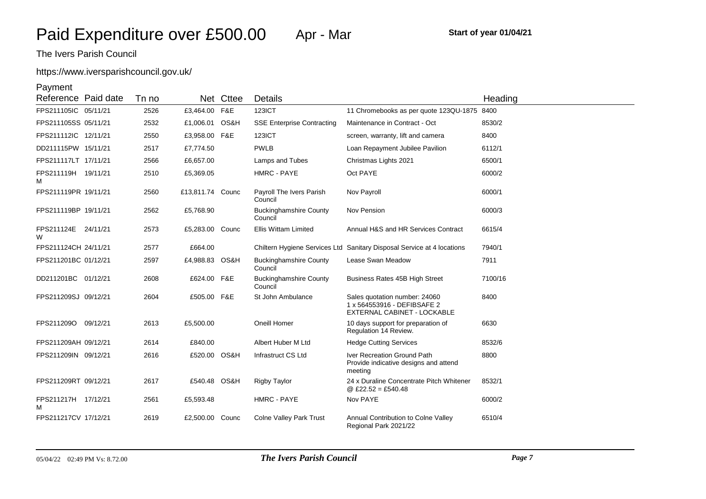# https://www.iversparishcouncil.gov.uk/

| Reference Paid date      |          | Tn no |                  | Net Cttee | Details                                  |                                                                                             | Heading |
|--------------------------|----------|-------|------------------|-----------|------------------------------------------|---------------------------------------------------------------------------------------------|---------|
| FPS211105IC 05/11/21     |          | 2526  | £3,464.00 F&E    |           | <b>123ICT</b>                            | 11 Chromebooks as per quote 123QU-1875                                                      | 8400    |
| FPS211105SS 05/11/21     |          | 2532  | £1,006.01 OS&H   |           | <b>SSE Enterprise Contracting</b>        | Maintenance in Contract - Oct                                                               | 8530/2  |
| FPS211112IC 12/11/21     |          | 2550  | £3,958.00 F&E    |           | <b>123ICT</b>                            | screen, warranty, lift and camera                                                           | 8400    |
| DD211115PW 15/11/21      |          | 2517  | £7,774.50        |           | <b>PWLB</b>                              | Loan Repayment Jubilee Pavilion                                                             | 6112/1  |
| FPS211117LT 17/11/21     |          | 2566  | £6,657.00        |           | Lamps and Tubes                          | Christmas Lights 2021                                                                       | 6500/1  |
| FPS211119H 19/11/21<br>м |          | 2510  | £5,369.05        |           | HMRC - PAYE                              | Oct PAYE                                                                                    | 6000/2  |
| FPS211119PR 19/11/21     |          | 2560  | £13,811.74 Counc |           | Payroll The Ivers Parish<br>Council      | Nov Payroll                                                                                 | 6000/1  |
| FPS211119BP 19/11/21     |          | 2562  | £5,768.90        |           | <b>Buckinghamshire County</b><br>Council | Nov Pension                                                                                 | 6000/3  |
| FPS211124E 24/11/21<br>W |          | 2573  | £5,283.00 Counc  |           | <b>Ellis Wittam Limited</b>              | Annual H&S and HR Services Contract                                                         | 6615/4  |
| FPS211124CH 24/11/21     |          | 2577  | £664.00          |           |                                          | Chiltern Hygiene Services Ltd Sanitary Disposal Service at 4 locations                      | 7940/1  |
| FPS211201BC 01/12/21     |          | 2597  | £4,988.83 OS&H   |           | <b>Buckinghamshire County</b><br>Council | Lease Swan Meadow                                                                           | 7911    |
| DD211201BC 01/12/21      |          | 2608  | £624.00 F&E      |           | <b>Buckinghamshire County</b><br>Council | Business Rates 45B High Street                                                              | 7100/16 |
| FPS211209SJ 09/12/21     |          | 2604  | £505.00 F&E      |           | St John Ambulance                        | Sales quotation number: 24060<br>1 x 564553916 - DEFIBSAFE 2<br>EXTERNAL CABINET - LOCKABLE | 8400    |
| FPS211209O               | 09/12/21 | 2613  | £5,500.00        |           | Oneill Homer                             | 10 days support for preparation of<br>Regulation 14 Review.                                 | 6630    |
| FPS211209AH 09/12/21     |          | 2614  | £840.00          |           | Albert Huber M Ltd                       | <b>Hedge Cutting Services</b>                                                               | 8532/6  |
| FPS211209IN 09/12/21     |          | 2616  | £520.00 OS&H     |           | Infrastruct CS Ltd                       | Iver Recreation Ground Path<br>Provide indicative designs and attend<br>meeting             | 8800    |
| FPS211209RT 09/12/21     |          | 2617  | £540.48 OS&H     |           | Rigby Taylor                             | 24 x Duraline Concentrate Pitch Whitener<br>@ £22.52 = £540.48                              | 8532/1  |
| FPS211217H 17/12/21<br>м |          | 2561  | £5,593.48        |           | HMRC - PAYE                              | Nov PAYE                                                                                    | 6000/2  |
| FPS211217CV 17/12/21     |          | 2619  | £2,500.00 Counc  |           | <b>Colne Valley Park Trust</b>           | Annual Contribution to Colne Valley<br>Regional Park 2021/22                                | 6510/4  |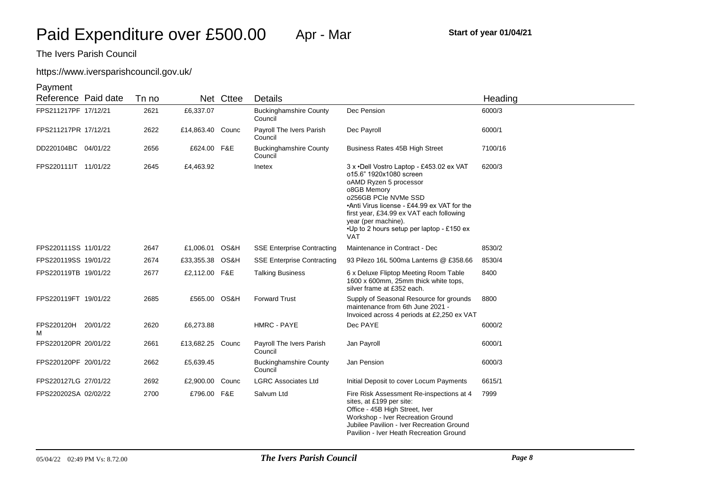## https://www.iversparishcouncil.gov.uk/

| Reference Paid date      | Tn no |                  | Net Cttee | Details                                  |                                                                                                                                                                                                                                                                                                             | Heading |
|--------------------------|-------|------------------|-----------|------------------------------------------|-------------------------------------------------------------------------------------------------------------------------------------------------------------------------------------------------------------------------------------------------------------------------------------------------------------|---------|
| FPS211217PF 17/12/21     | 2621  | £6,337.07        |           | <b>Buckinghamshire County</b><br>Council | Dec Pension                                                                                                                                                                                                                                                                                                 | 6000/3  |
| FPS211217PR 17/12/21     | 2622  | £14,863.40 Counc |           | Payroll The Ivers Parish<br>Council      | Dec Payroll                                                                                                                                                                                                                                                                                                 | 6000/1  |
| DD220104BC 04/01/22      | 2656  | £624.00 F&E      |           | <b>Buckinghamshire County</b><br>Council | Business Rates 45B High Street                                                                                                                                                                                                                                                                              | 7100/16 |
| FPS220111IT 11/01/22     | 2645  | £4,463.92        |           | Inetex                                   | 3 x .Dell Vostro Laptop - £453.02 ex VAT<br>of15.6" 1920x1080 screen<br>oAMD Ryzen 5 processor<br>o8GB Memory<br>o256GB PCIe NVMe SSD<br>•Anti Virus license - £44.99 ex VAT for the<br>first year, £34.99 ex VAT each following<br>year (per machine).<br>•Up to 2 hours setup per laptop - £150 ex<br>VAT | 6200/3  |
| FPS220111SS 11/01/22     | 2647  | £1,006.01 OS&H   |           | <b>SSE Enterprise Contracting</b>        | Maintenance in Contract - Dec                                                                                                                                                                                                                                                                               | 8530/2  |
| FPS220119SS 19/01/22     | 2674  | £33,355.38 OS&H  |           | <b>SSE Enterprise Contracting</b>        | 93 Pilezo 16L 500ma Lanterns @ £358.66                                                                                                                                                                                                                                                                      | 8530/4  |
| FPS220119TB 19/01/22     | 2677  | £2,112.00 F&E    |           | <b>Talking Business</b>                  | 6 x Deluxe Fliptop Meeting Room Table<br>1600 x 600mm, 25mm thick white tops,<br>silver frame at £352 each.                                                                                                                                                                                                 | 8400    |
| FPS220119FT 19/01/22     | 2685  | £565.00 OS&H     |           | <b>Forward Trust</b>                     | Supply of Seasonal Resource for grounds<br>maintenance from 6th June 2021 -<br>Invoiced across 4 periods at £2,250 ex VAT                                                                                                                                                                                   | 8800    |
| FPS220120H 20/01/22<br>м | 2620  | £6,273.88        |           | <b>HMRC - PAYE</b>                       | Dec PAYE                                                                                                                                                                                                                                                                                                    | 6000/2  |
| FPS220120PR 20/01/22     | 2661  | £13,682.25 Counc |           | Payroll The Ivers Parish<br>Council      | Jan Payroll                                                                                                                                                                                                                                                                                                 | 6000/1  |
| FPS220120PF 20/01/22     | 2662  | £5,639.45        |           | <b>Buckinghamshire County</b><br>Council | Jan Pension                                                                                                                                                                                                                                                                                                 | 6000/3  |
| FPS220127LG 27/01/22     | 2692  | £2,900.00 Counc  |           | <b>LGRC Associates Ltd</b>               | Initial Deposit to cover Locum Payments                                                                                                                                                                                                                                                                     | 6615/1  |
| FPS220202SA 02/02/22     | 2700  | £796.00 F&E      |           | Salvum Ltd                               | Fire Risk Assessment Re-inspections at 4<br>sites, at £199 per site:<br>Office - 45B High Street, Iver<br>Workshop - Iver Recreation Ground<br>Jubilee Pavilion - Iver Recreation Ground<br>Pavilion - Iver Heath Recreation Ground                                                                         | 7999    |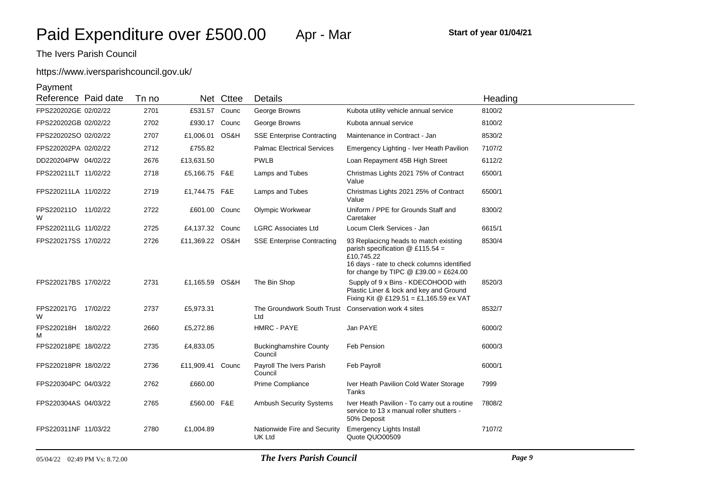# https://www.iversparishcouncil.gov.uk/

| Reference Paid date      | Tn no |                  | Net Cttee | Details                                  |                                                                                                                                                                                   | Heading |
|--------------------------|-------|------------------|-----------|------------------------------------------|-----------------------------------------------------------------------------------------------------------------------------------------------------------------------------------|---------|
| FPS220202GE 02/02/22     | 2701  | £531.57 Counc    |           | George Browns                            | Kubota utility vehicle annual service                                                                                                                                             | 8100/2  |
| FPS220202GB 02/02/22     | 2702  | £930.17 Counc    |           | George Browns                            | Kubota annual service                                                                                                                                                             | 8100/2  |
| FPS220202SO 02/02/22     | 2707  | £1,006.01 OS&H   |           | <b>SSE Enterprise Contracting</b>        | Maintenance in Contract - Jan                                                                                                                                                     | 8530/2  |
| FPS220202PA 02/02/22     | 2712  | £755.82          |           | <b>Palmac Electrical Services</b>        | Emergency Lighting - Iver Heath Pavilion                                                                                                                                          | 7107/2  |
| DD220204PW 04/02/22      | 2676  | £13,631.50       |           | <b>PWLB</b>                              | Loan Repayment 45B High Street                                                                                                                                                    | 6112/2  |
| FPS220211LT 11/02/22     | 2718  | £5,166.75 F&E    |           | Lamps and Tubes                          | Christmas Lights 2021 75% of Contract<br>Value                                                                                                                                    | 6500/1  |
| FPS220211LA 11/02/22     | 2719  | £1,744.75 F&E    |           | Lamps and Tubes                          | Christmas Lights 2021 25% of Contract<br>Value                                                                                                                                    | 6500/1  |
| FPS220211O 11/02/22<br>W | 2722  | £601.00 Counc    |           | Olympic Workwear                         | Uniform / PPE for Grounds Staff and<br>Caretaker                                                                                                                                  | 8300/2  |
| FPS220211LG 11/02/22     | 2725  | £4,137.32 Counc  |           | <b>LGRC Associates Ltd</b>               | Locum Clerk Services - Jan                                                                                                                                                        | 6615/1  |
| FPS220217SS 17/02/22     | 2726  | £11,369.22 OS&H  |           | <b>SSE Enterprise Contracting</b>        | 93 Replaciong heads to match existing<br>parish specification $@$ £115.54 =<br>£10.745.22<br>16 days - rate to check columns identified<br>for change by TIPC $@E39.00 = £624.00$ | 8530/4  |
| FPS220217BS 17/02/22     | 2731  | £1,165.59 OS&H   |           | The Bin Shop                             | Supply of 9 x Bins - KDECOHOOD with<br>Plastic Liner & lock and key and Ground<br>Fixing Kit @ £129.51 = £1,165.59 ex VAT                                                         | 8520/3  |
| FPS220217G 17/02/22<br>W | 2737  | £5,973.31        |           | The Groundwork South Trust<br>Ltd        | Conservation work 4 sites                                                                                                                                                         | 8532/7  |
| FPS220218H 18/02/22<br>м | 2660  | £5,272.86        |           | HMRC - PAYE                              | Jan PAYE                                                                                                                                                                          | 6000/2  |
| FPS220218PE 18/02/22     | 2735  | £4,833.05        |           | <b>Buckinghamshire County</b><br>Council | Feb Pension                                                                                                                                                                       | 6000/3  |
| FPS220218PR 18/02/22     | 2736  | £11,909.41 Counc |           | Payroll The Ivers Parish<br>Council      | Feb Payroll                                                                                                                                                                       | 6000/1  |
| FPS220304PC 04/03/22     | 2762  | £660.00          |           | Prime Compliance                         | Iver Heath Pavilion Cold Water Storage<br>Tanks                                                                                                                                   | 7999    |
| FPS220304AS 04/03/22     | 2765  | £560.00 F&E      |           | Ambush Security Systems                  | Iver Heath Pavilion - To carry out a routine<br>service to 13 x manual roller shutters -<br>50% Deposit                                                                           | 7808/2  |
| FPS220311NF 11/03/22     | 2780  | £1,004.89        |           | Nationwide Fire and Security<br>UK Ltd   | <b>Emergency Lights Install</b><br>Quote QUO00509                                                                                                                                 | 7107/2  |